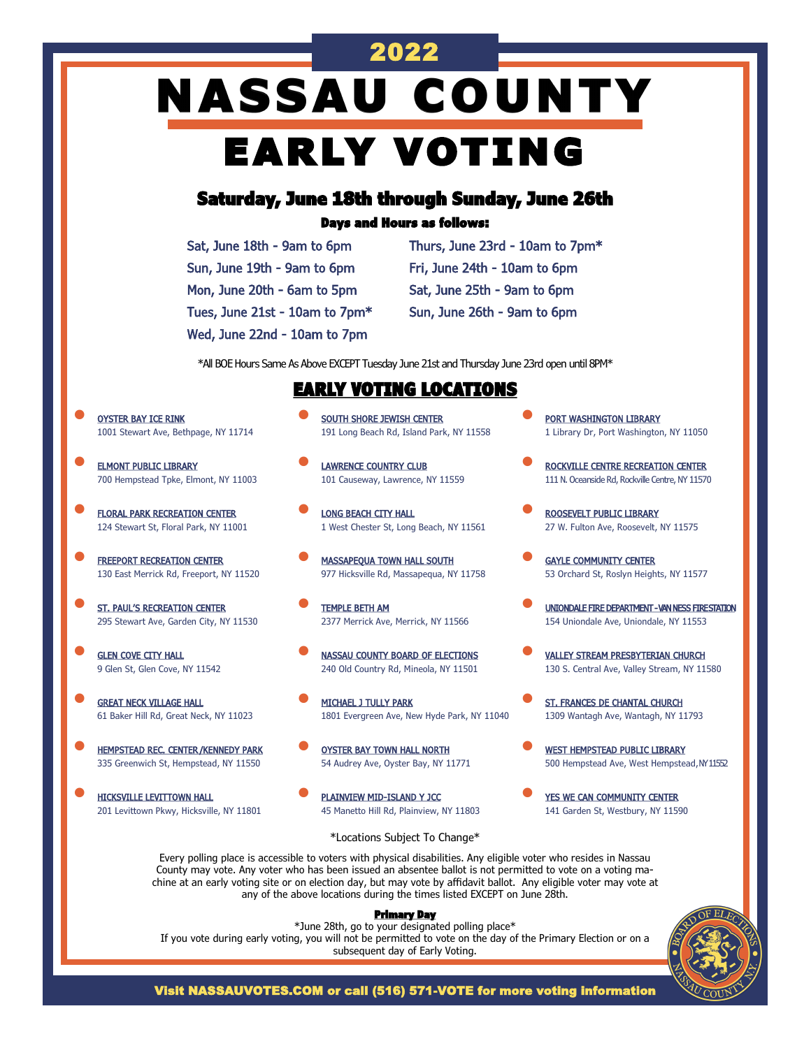# 2022 **NASSAU COUNTY** EARLY VOTING

# Saturday, June 18th through Sunday, June 26th

### Days and Hours as follows:

| Sat, June 18th - 9am to 6pm    |
|--------------------------------|
| Sun, June 19th - 9am to 6pm    |
| Mon, June 20th - 6am to 5pm    |
| Tues, June 21st - 10am to 7pm* |
| Wed, June 22nd - 10am to 7pm   |

Thurs, June 23rd - 10am to 7pm\* Fri, June 24th - 10am to 6pm Sat, June 25th - 9am to 6pm Sun, June 26th - 9am to 6pm

\*All BOE Hours Same As Above EXCEPT Tuesday June 21st and Thursday June 23rd open until 8PM\*

### EARLY VOTING LOCATIONS

- OYSTER BAY ICE RINK 1001 Stewart Ave, Bethpage, NY 11714
- **ELMONT PUBLIC LIBRARY** 700 Hempstead Tpke, Elmont, NY 11003
- **FLORAL PARK RECREATION CENTER** 124 Stewart St, Floral Park, NY 11001
- **FREEPORT RECREATION CENTER** 130 East Merrick Rd, Freeport, NY 11520
- **ST. PAUL'S RECREATION CENTER** 295 Stewart Ave, Garden City, NY 11530
- **GLEN COVE CITY HALL** 9 Glen St, Glen Cove, NY 11542
- **GREAT NECK VILLAGE HALL** 61 Baker Hill Rd, Great Neck, NY 11023
- **HEMPSTEAD REC. CENTER/KENNEDY PARK** 335 Greenwich St, Hempstead, NY 11550
- HICKSVILLE LEVITTOWN HALL 201 Levittown Pkwy, Hicksville, NY 11801
- **SOUTH SHORE JEWISH CENTER** 191 Long Beach Rd, Island Park, NY 11558
- **LAWRENCE COUNTRY CLUB** 101 Causeway, Lawrence, NY 11559
- **LONG BEACH CITY HALL** 1 West Chester St, Long Beach, NY 11561
- **MASSAPEQUA TOWN HALL SOUTH** 977 Hicksville Rd, Massapequa, NY 11758
- TEMPLE BETH AM 2377 Merrick Ave, Merrick, NY 11566
- **NASSAU COUNTY BOARD OF ELECTIONS** 240 Old Country Rd, Mineola, NY 11501
- MICHAEL J TULLY PARK 1801 Evergreen Ave, New Hyde Park, NY 11040
- **OYSTER BAY TOWN HALL NORTH** 54 Audrey Ave, Oyster Bay, NY 11771
- PLAINVIEW MID-ISLAND Y JCC 45 Manetto Hill Rd, Plainview, NY 11803
- **PORT WASHINGTON LIBRARY** 1 Library Dr, Port Washington, NY 11050
- ROCKVILLE CENTRE RECREATION CENTER 111 N. Oceanside Rd, Rockville Centre, NY 11570
- ROOSEVELT PUBLIC LIBRARY 27 W. Fulton Ave, Roosevelt, NY 11575
- **GAYLE COMMUNITY CENTER** 53 Orchard St, Roslyn Heights, NY 11577
- UNIONDALE FIRE DEPARTMENT VAN NESS FIRE STATION 154 Uniondale Ave, Uniondale, NY 11553
- VALLEY STREAM PRESBYTERIAN CHURCH 130 S. Central Ave, Valley Stream, NY 11580
- ST. FRANCES DE CHANTAL CHURCH 1309 Wantagh Ave, Wantagh, NY 11793
- **WEST HEMPSTEAD PUBLIC LIBRARY** 500 Hempstead Ave, West Hempstead, NY 11552
- YES WE CAN COMMUNITY CENTER 141 Garden St, Westbury, NY 11590

### \*Locations Subject To Change\*

Every polling place is accessible to voters with physical disabilities. Any eligible voter who resides in Nassau County may vote. Any voter who has been issued an absentee ballot is not permitted to vote on a voting machine at an early voting site or on election day, but may vote by affidavit ballot. Any eligible voter may vote at any of the above locations during the times listed EXCEPT on June 28th.

#### Primary Day

\*June 28th, go to your designated polling place\* If you vote during early voting, you will not be permitted to vote on the day of the Primary Election or on a subsequent day of Early Voting.



Visit NASSAUVOTES.COM or call (516) 571-VOTE for more voting information